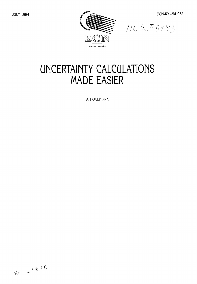

# **UNCERTAINTY CALCULATIONS MADE EASIER**

A. HOGENBIRK

 $\otimes \mathbb{P}^1 \times \mathbb{P}^2 \times \mathbb{P}^3$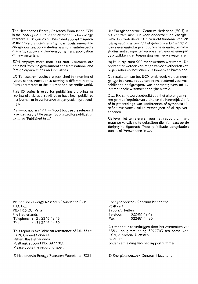The Netherlands Energy Research Foundation ECN is the leading institute in the Netherlands for energy research. ECN carries out basic and applied research in the fields of nuclear energy, fossil fuels, renewable energy sources, policy studies, environmental aspects of energy supply and the development and application of new materials.

ECN employs more than 900 staff. Contracts are obtained from the government and from national and foreign organizations and industries.

ECN's research results are published in a number of report series, each series serving a different public, from contractors to the international scientific world.

This RX-series is used for publishing pre-prints or reprints of articles that will be or have been published in a journal, or in conference or symposium proceedings.

Please do not refer to this report but use the reference provided on the title page: 'Submitted for publication to ...' or 'Published in ...'.

Het Energieonderzoek Centrum Nederland (ECN) is het centrale instituut voor onderzoek op energiegebied in Nederland. ECN verricht fundamenteel en toegepast onderzoek op het gebied van kernenergie, fossiele-energiedragers, duurzame energie, beleidsstudies, milieuaspecten van de energievoorziening en de ontwikkeling en toepassing van nieuwe materialen.

Bij ECN zijn ruim 900 medewerkers werkzaam. De opdrachten worden verkregen van de overheid en van organisaties en industrieën uit binnen- en buitenland.

De resultaten van het ECN-onderzoek worden neergelegd in diverse rapportenseries, bestemd voor verschillende doelgroepen, van opdrachtgevers tot de internationale wetenschappelijke wereld.

Deze RX-serie wordt gebruikt voor het uitbrengen van pre-printsof reprints van artikelen die in een tijdschrift of in proceedings van conferenties of symposia (in definitieve vorm) zullen verschijnen of al zijn verschenen.

Gelieve niet te refereren aan het rapportnummer, maar de verwijzing te gebruiken die hiernaast op de titelpagina figureert: 'Voor publikatie aangeboden aan ..: of 'Verschenen in ...'.

Netherlands Energy Research Foundation ECN P.O. Box 1 NL-1755ZG Petten the Netherlands Telephone :+31 2246 49 49 Fax  $: +31$  2246 44 80

This report is available on remittance of Dfl. 35 to: ECN, General Services, Petten, the Netherlands Postbank account No. 3977703. Please quote the report number.

© Netherlands Energy Research Foundation ECN © Energieonderzoek Centrum Nederland

Energieonderzoek Centrum Nederland Postbus 1 I755ZG Petten Telefoon : (02246) 49 49 Fax : (02246) 44 80

Dit rapport is te verkrijgen door het overmaken van f35,-- op girorekening 3977703 ten name van: ECN, Algemene Diensten te Petten onder vermelding van het rapportnummer.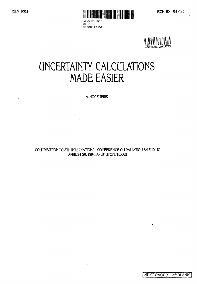



# **UNCERTAINTY CALCULATIONS MADE EASIER**

R: FI DE008129109

**A. HOQENBIRK**

**CONTRIBUTION TO 8TH INTERNATIONAL CONFERENCE ON RADIATION SHIELDING APRIL 24-28,1994, ARLINGTON, TEXAS**

NEXT PAGE(S) left BLANK.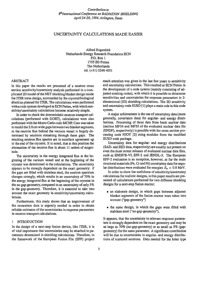# *Contribution to ^International Conference on RADIATION SHIELDING April 24-28,1994, Arlington, Texas*

# UNCERTAINTY CALCULATIONS MADE EASIER

Alfred Hogenbirk Netherlands Energy Research Foundation ECN P.O. Box 1 1755 ZG Petten The Netherlands tel. (+31)2246 4051

# ABSTRACT

In this paper the results are presented of a neutron cross section sensitivity/uncertainty analysis performed in a complicated 2D model of the NET shielding blanket design inside the ITER torus design, surrounded by the cryostat/biological shield as planned for ITER. The calculations were performed with a code system developed at ECN Petten, with which sensitivity/uncertainty calculations become relatively simple.

In order to check the deterministic neutron transport calculations (performed with DORT), calculations were also performed with the Monte Carlo code MCNP. Care was taken to model the 2.0 cm wide gaps between two blanket segments, as the neutron flux behind the vacuum vessel is largely determined by neutrons streaming through these gaps. The resulting neutron flux spectra are in excellent agreement up to the end of the cryostat. It is noted, that at this position the attenuation of the neutron flux is about 11 orders of magnitude.

The uncertainty in the energy integrated flux at the beginning of the vacuum vessel and at the beginning of the cryostat was determined in the calculations. The uncertainty appears to be strongly dependent on the exact geometry: if the gaps are filled with stainless steel, the neutron spectrum changes strongly, which results in an uncertainty of 70% in the energy integrated flux at the beginning of the cryostat in the no-gap-geometry, compared to an uncertainty of only *5%* in the gap-geometry. Therefore, it is essential to take into account the exact geometry in sensitivity/uncertainty calculations.

Furthermore, this study shows that an improvement of the covaraince data is urgently needed in order to obtain reliable estimates of the uncertainties in response parameters in neutron transport calculations.

## 1 INTRODUCTION

In the design of a next-step fusion device, like ITER, it is of vital importance that uncertainties may be attached to parameters determined in shielding calculations. Therefore, in the framework of the European Fusion File (EFF) project much attention was given in the last few years to sensitivity and uncertainty calculations. This resulted at ECN Petten in the development of a code system (mainly consisting of adjusted existing codes), with which it is possible to determine sensitivities and uncertainties for response parameters in 2 dimensional (2D) shielding calculations. The 2D sensitivity and uncertainty code SUSD [1] plays a main role in this code system.

A major achievement is the use of uncertainty data (more generally, covariance data) for angular- and energy distributions. Processing of these data from basic nuclear data (section MF34 and MF35 of the evaluated nuclear data file (ENDF), respectively) is possible with the cross section processing code NJOY [2] using modules from the modified SUSD code package.

Uncertainty data for angular- and energy distributions (SAD- and SED data, respectively) are usually not present on even the most recent releases of evaluated nuclear data files, such as ENDF/B-VI, EFF-2 and JENDL-3. The European EFF-2 evaluation is an exception, however, as for the main structural materials (Fe, Cr and Ni) uncertainty data for angular distributions were evaluated for energies  $E_n > 0.8$  MeV.

In order to show the usefulness of sensitivity/uncertainty calculations for realistic designs, in this paper results are presented of calculations performed for two different shielding designs for a next-step fusion reactor:

- an elaborate design, in which gaps between adjacent blanket segments of the fusion reactor were taken into account ("gap-geometry")
- the same design, in which the gaps were filled with stainless steel ("no-gap-geometry").

It appears, that the uncertainty in relevant response parameters is strongly dependent on the exact geometry and may be as large as 70% (no-gap-geometry) or as small as 5% (gapgeometry) for the same parameter. A significant contribution will be due to uncertainties in angular- and energy distributions of scattered neutrons. Data needed for the latter type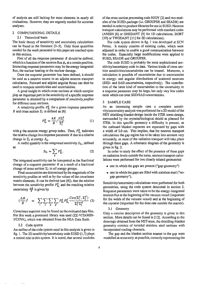of analysis are still lacking for most elements in nearly all evaluations. However, they are urgently needed for accurate analyses.

#### 2 COMPUTATIONAL DETAILS

# 2.1 Theoretical basis

The basic theory of sensitivity and uncertainty calculations can be found in the literature [3-5]. Only those quantities needed for the work presented in this paper are touched upon in this section.

First of all the response parameter *R* should be defined, which is a function of the neutron flux  $\phi_n$  at a certain position. Interesting response parameters may be the energy integrated flux, the nuclear heating or the nuclear damage.

Once the response parameter has been defined, it should be used as a neutron source in an adjoint neutron transport calculation. Forward and adjoint angular fluxes can then be used to compute sensitivities and uncertainties.

A good insight in which cross sections at which energies play an important part in the sensitivity of a specific response parameter is obtained by a comparison of *sensitivity profiles* for different cross sections.

A sensitivity profile  $P_{\Sigma_i}^s$  for a given response parameter *R* and cross section  $\Sigma_i$  is defined as [6]

$$
P_{\Sigma_i}^g = \frac{\delta R}{R} / \frac{\delta \Sigma_i^g}{\Sigma_i^g} \tag{1}
$$

with *g* the neutron energy group index. Thus,  $P^g_{\Sigma}$  indicates the relative change in a response parameter *R* due to a relative change in  $\Sigma_i$  at energy  $E_g$ .

A useful quantity is the *integrated sensitivity*  $S_{\Sigma_i}$ , defined as

$$
S_{\Sigma_i} = \sum_{g} P_{\Sigma_i}^g.
$$
 (2)

The integrated sensitivity can be interpreted as the fractional change of a response parameter *R* as a result of a fractional change of cross section  $\Sigma_i$  in *all* energy groups.

Final uncertainties are determined by the magnitude of the sensitivity profiles as well as by the values of the covariance matrix elements. It can be derived (see [6]), that the relation between the sensitivity profile  $P_{\Sigma_l}^{\mathbf{e}}$  and the resulting relative uncertainty  $\frac{\Delta R}{R}$  is given by

$$
(\frac{\Delta R}{R})^2 = \sum_{i} \sum_{j} \sum_{g} \sum_{g'} P_{\Sigma_i}^g P_{\Sigma_j}^{g'} \frac{Cov(\Sigma_i^g, \Sigma_j^{g'})}{\Sigma_i^g \Sigma_j^{g'}} \tag{3}
$$

Covariance matrices may be found on the evaluated data files. For this work a processed library was used (ZZ-VITAMIN-J/COVA), which was obtained from the NEA Data Bank.

#### 2.2 Code system

An outline of the code system used in this analysis is given in fig. 1. The 2D sensitivity/uncertainty code SUSD [1,7] plays a central role in this system. It is noted, that several modules

of the cross section processing code NJOY [2] and two modules of the SUSD-package (i.e. GROUPSR and SEADR) are needed in order to produce libraries for use in SUSD. Neutron transport calculations may be performed with standard codes (ANISN [8] or ONEDANT [9] for ID calculations, DORT [10] or TWODANT [11] for 2D calculations).

The code system shown in fig. 1 was developed at ECN Petten. It mainly consists of existing codes, which were adjusted in order to enable a good communication between the codes. Especially large modifications were applied to SUSD, SEADR and GROUPSR.

The code SUSD is probably the most sophisticated sensitivity/uncertainty code to date. Various kinds of cross section sensitivities/uncertainties can be treated. Moreover, a calculation is possible of uncertainties due to uncertainties in energy- and angular distributions of scattered neutrons (SED- and SAD-uncertainties, respectively). The contribution of the latter kind of uncertainties to the uncertainty in a response parameter may be large, but only very few codes exist which can treat SED/SAD-uncertainties.

#### 3 SAMPLE CASE

As an interesting sample case a complete sensitivity/uncertainty analysis was performed for a 2D model of the NET shielding-blanket design inside the ITER torus-design, surrounded by the cryostat/biological shield as planned for ITER. In this specific geometry a difficulty is present, as the outboard blanket segments are separated by gaps with a width of 2.0 cm. This implies, that for neutron transport calculations the gap region has to be taken into account very accurately, as most of the radiation transport will take place through these gaps. A schematic diagram of the geometry is given in fig. 2.

In order to study the effect of the presence of these gaps on radiation levels outside the torus, neutron transport calculations were performed for two closely related geometries:

- one in which the gaps are present ("gap-geometry")
- one in which the gaps are filled with stainless steel ("nogap-geometry").

Sensitivity/uncertainty calculations were performed for both geometries, using the code system described in section 2. Response parameters were taken to be the energy-integrated neutron flux at the beginning of the vacuum vessel (important for the welds of the vacuum vessel) and at the beginning of the cryostat (important for the dose rate outside the reactor).

#### 3.1 Geometry

Only a concise description of the geometry is given in this section. More details can be found in [12]. According to the drawings obtained from the NET-team, the shielding-blanket geometry consists of toroidal stainless steel sections with incorporated cooling-channels.

The gap and the blanket section nearest to the gap were modelled as accurately as possible, correctly representing the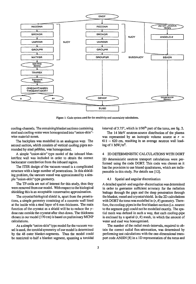

**Figure I: Code system used for the sensitivity and uncertainty calculations.**

cooling-channels. The remaining blanket sections containing steel and cooling-water were homogenised into "onion-skin" wise material-zones.

The backplate was modelled in an analogous way. The second section, which consists of vertical cooling pipes surrounded by steel pebbles, was homogenised.

A simple "onion-skin" type model of the inboard blanket/first wall was included in order to obtain the correct backscatter contribution from the inboard region.

The ITER design of the vacuum-vessel is a complicated structure with a large number of penetrations. In this shielding problem, the vacuum vessel was approximated by a simple "onion-skin" type geometry.

The TF-coils are not of interest for this study, thus they were removed from our model. With respect to the biological shielding this is an acceptable conservative approximation.

The cryostat/biological shield is, apart from the penetrations, a simple geometry consisting of a concrete wall lined at the inside with a steel layer of 6 mm thickness. The main function of the cryostat as a shield will be to reduce the *y*dose rate outside the cryostat after shut-down. The thickness chosen in our model (170 cm) is based on preliminary MCNP calculations.

As a simple "onion-skin" type model for the vacuum vessel is used, the toroidal symmetry of our model is determined by the 48 outer blanket-segments. Thus the model could be restricted to half a blanket segment, spanning a toroidal interval of 3.75°, which is 1/96<sup>th</sup> part of the torus, see fig. 2.

The 14 MeV neutron-source distribution of the plasma was represented by an isotropic volume source at  $r =$  $611 - 620$  cm, resulting in an average neutron wall loading of 1 MW/m<sup>2</sup>.

#### 4 2D DETERMINISTIC CALCULATIONS WITH DORT

2D deterministic neutron transport calculations were performed using the code DORT. This code was chosen as it has the provision to use biased quadratures, which are indispensable in this study. For details see [12].

#### 4.1 Spatial and angular discretisation

A detailed spatial- and angular- discretisation was determined in order to guarantee sufficient accuracy for the radiation leakage through the gaps and the deep penetration through the blanket, vessel and cryostat/shield. In the 2D-calculations with DORT the torus was modelled in  $(r, \theta)$  geometry. Therefore, the cooling-pipes in the first blanket-section (i.e. nearest to the segment-gap) could not be modelled exactly. The spatial mesh was defined in such a way, that each cooling-pipe is enclosed by a spatial  $(r, \theta)$  mesh, in which the amount of water and steel was homogenised.

The number of the radial mesh-intervals, required to obtain the correct radial flux-attenuation, was determined by performing test calculations with the one-dimensional transport code ANISN [8] in a ID representation of the torus and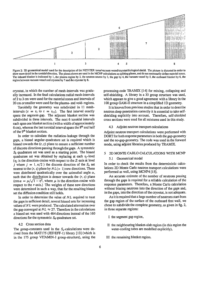

Figure 2: 2D geometrical model used for the description of the NET/ITER torus/vacuum vessel/cryostat/biological shield. The picture is distorted in order to show more detail in the toroidal direction. The planes shown are used in the MCNP calculations as splitting planes, and do not necessarily define material zones. The inboard blanket is indicated by 1, the plasma region by 2, the neutron source by 3, the gap by 4, the vacuum vessel by 5, the outboard blanket by 6, the region between vacuum vessel and cryostat by 7 and the cryoslat by 8.

cryostat, in which the number of mesh-intervals was gradually increased. In the final calculations radial mesh-intervals of 2 to 3 cm were used for the material zones and intervals of 20 cm or smaller were used for the plasma- and void- regions.

Toroidally the geometry was subdivided in 11 meshintervals ( $\tau = \tau_1$  to  $\tau = \tau_{11}$ ). The first interval exactly spans the segment-gap. The adjacent blanket section was subdivided in three intervals. The next 6 toroidal intervals each span one blanket section (with a width of approximately 6 cm), whereas the last toroidal interval spans the 8<sup>th</sup> and half of the 9<sup>th</sup> blanket section.

In order to calculate the radiation-leakage through the gaps, a biased angular-quadrature set is required which is biased towards the  $(r, z)$  plane to ensure a sufficient number of discrete directions passing through the gaps. A symmetric *Ss* quadrature set was used as a starting point. The biased quadrature set was obtained by replacing at each  $\eta_i$ -level  $(r_i)$  is the direction-cosine with respect to the Z-axis at level *j* where  $j = 1, n/2$  ) the discrete direction of the  $S_n$  set nearest to the  $(r, z)$  plane by  $NL(> 1)$  new directions. These were distributed quadratically over the azimuthal angle *a,* such that the distribution is denser towards the  $(r, z)$  plane  $(\cos \alpha = \mu/\sqrt{1 - \eta^2})$ , where  $\mu$  is the direction-cosine with respect to the  $r$ -axis.) The weights of these new directions were determined in such a way, that for the resulting biased set the diffusion condition still holds.

In order to determine the value of *NL* required to treat the gaps in sufficient detail, several biased sets for increasing values of NL were produced. The calculated attenuation over the gap converged at  $NL \approx 27$ . Therefore in the calculations a biased set was used with 464 directions instead of the 160 directions for the symmetric  $S_8$  quadrature set.

#### 4.2 Cross section data

The group-constants used in the  $S_n$ -calculations were derived from the MAT175 (JEF/EFF-1) library [13] (which is in the 175 group VITAMIN-J group-structure), using the processing-code TRAMIX [14] for mixing, collapsing and self-shielding. A library in a 33 group structure was used, which appears to give a good agreement with a library in the 100 group GAM-II structure in a simplified ID geometry.

It is known from previous studies that in order to describe neutron deep penetration correctly it is essential to take selfshielding explicitly into account. Therefore, self-shielded cross sections were used for all mixtures used in this study.

## 4.3 Adjoint neutron transport calculations

Adjoint neutron transport calculations were performed with DORT for both response parameters in both the gap-geometry and the no-gap-geometry. The code was used in the forward mode, using adjoint libraries produced by TRAMIX.

# 5 2D MONTE CARLO CALCULATIONS WITH MCNP

# 5.1 Geometrical model

In order to check the results from the deterministic calculations 2D Monte Carlo neutron transport calculations were performed as well, using MCNP4 [15].

An accurate estimate of the number of neutrons passing through the gaps is required for a reliable calculation of the response parameters. Therefore, a Monte Carlo calculation without biasing neutrons into the direction of the gaps and, in the gaps, into the direction of the cryostat, is not adequate.

As it is required that a large number of neutrons start from the gap region of the surface of the outboard first wall, we chose to subdivide the complete geometry, as given in fig. 2, in three separate regions:

- I the segment gap region,
- II the neighbouring blanket-slab region (in this region the water-cooling tubes are modelled explicitly),
- III the remaining blanket region.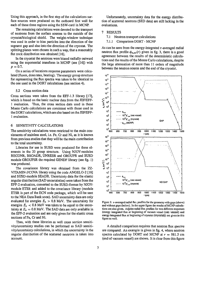Using this approach, in the first step of the calculations surface sources were produced on the outboard first wall for each of these three regions using the SSW-card in MCNP.

The remaining calculations were devoted to the transport of neutrons from the surface sources to the outside of the cryostat/biological shield. The weight-window technique was used in order to bias particles into the direction of the segment gap and also into the direction of the cryostat. The splitting planes were chosen in such a way, that a reasonably flat track distribution was obtained [16].

In the cryostat the neutrons were biased radially outward using the exponential transform in MCNP (see [16]) with *p =* 0.7.

On a series of locations response parameters were calculated (fluxes, dose rates, heating). The energy group structure for representing the flux spectra was taken to be identical to the one used in the DORT calculations (see section 4).

#### 5.2 Cross section data

Cross sections were taken from the EFF-1.3 library [17], which is based on the basic nuclear data from the JEF/EFF-1 evaluation. Thus, the cross section data used in these Monte Carlo calculations are consistent with those used in the DORT calculations, which are also based on the JEF/EFF-1 evaluation.

# 6 SENSITIVITY CALCULATIONS

The sensitivity calculations were restricted to the main consistuents of stainless steel, i.e. Fe, Cr and Ni, as it is known from previous studies that they will be the main contribution to the total uncertainty.

Libraries for use in SUSD were produced for these elements in the 33 group structure. Using NJOY-modules RECONR, BROADR, UNRESR and GROUPR and SUSD module GROUPSR the required GENDF library (see fig. 1) was produced.

The covariance library was obtained from the ZZ-VITAMIN-J/COVA library using the code ANGELO-2 [18] and SUSD-module SEADR. Uncertainty data for the elastic angular distribution (SAD uncertainties) were taken from the EFF-2 evaluation, converted to the SUSD-format by NJOYmodule ETSR and added to the covariance library (module ETSR is part of the ECN code package, which will be sent to the NEA Data Bank soon). SAD uncertainty data are only evaluated for energies  $E_n > 0.8$  MeV. The uncertainty for energies  $E_n < 0.8$  MeV was taken to be equal to the uncertainty at  $E_n = 0.8$  MeV. The SAD data are only available in the EFF-2 evaluation and are only given for the elastic cross sections of Fe, Cr and Ni.

Thus, with these libraries as well cross section sensitivity/uncertainty studies can be performed as SAD sensitivity/uncertainty calculations, in which the uncertainty in the angular distribution of the scattered neutrons is taken into account.

Unfortunately, uncertainty data for the energy distribution of scattered neutrons (SED data) are still lacking in the evaluations.

### 7 RESULTS

- 7.1 Neutron transport calculations
- 7.1.1 Comparison DORT MCNP

As can be seen from the energy-integrated  $\tau$ -averaged radial neutron flux profile  $\phi_{n,av}(r)$  given in fig. 3, there is a good agreement between the results of the deterministic calculations and the results of the Monte Carlo calculations, despite the large attenuation of more than 11 orders of magnitude between the neutron source and the end of the cryostat.



Figure 3:  $\tau$ -averaged radial flu: profiles for the geometry with gaps (above) and without gaps (below). In the upper figure the results of MCNP calculations are also given. Adjoint radial flux profiles for two different responses (energy integrated flux at beginning of vacuum vessel (vac vessel) and energy integrated flux at beginning of cryostat (cryostat)) are given in this figure as well.

A detailed comparison requires that neutron flux *spectra* are compared. An example is given in fig. 4, where neutron spectra calculated by DORT and MCNP at  $r = 981.5$  cm (end of vacuum vessel) are shown. It is clear from this figure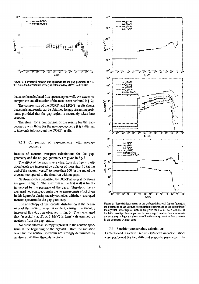

Figure 4:  $\tau$ -averaged neutron flux spectrum for the gap-geometry at  $r =$ 981.5 cm (end of vacuum vessel) as calculated by MCNP and DORT.

that also the calculated flux spectra agree well. An extensive comparison and discussion of the results can be found in [ 12].

The comparison of the DORT- and MCNP-results shows that consistent results can be obtained for gap streaming problems, provided that the gap region is accurately taken into account.

Therefore, for a comparison of the results for the gapgeometry with those for the no-gap-geometry it is sufficient to take only into account the DORT results.

# 7.1.2 Comparison of gap-geometry with no-gapgeometry

Results of neutron transport calculations for the gapgeometry and the no-gap-geometry are given in fig. 3.

The effect of the gaps is very clear from this figure: radiation levels are increased by a factor of more than 10 (at the end of the vacuum vessel) to more than 100 (at the end of the cryostat) compared to the situation without gaps.

Neutron spectra calculated by DORT at several locations are given in fig. 5. The spectrum at the first wall is hardly influenced by the presence of the gaps. Therefore, the  $\tau$ averaged neutron spectrum in the no-gap geometry (not given in this figure for clarity) nearly coincides with the  $\tau$ -averaged neutron spectrum in the gap-geometry.

The anisotropy of the toroidal distribution at the beginning of the vacuum vessel is evident, causing the strongly increased flux  $\phi_{n,av}$  as observed in fig. 3. The  $\tau$ -averaged flux (especially at  $E_n \geq 1$  MeV) is largely determined by neutrons from the gap region.

No pronounced anisotropy is present in the neutron spectrum at the beginning of the cryostat. Both the radiation level and the neutron spectrum are strongly determined by neutrons travelling through the gaps.



Figure 5: Toroidal flux spectra at the outboard first wall (upper figure), at the beginning of the vacuum vessel (middle figure) and at the beginning of the cryostat (lower figure). Spectra are given for  $\tau = \tau_1, \tau_4, \tau_7$  and  $\tau_{11}$ . In the latter two figs, for comparison the r-averaged neutron flux spectrum in the geometry with gaps is given as well as the average neutron flux spectrum in the geometry without gaps.

## 7.2 Sensitivity/uncertainty calculations

As mentioned in section 3 sensitivity/uncertainty calculations were performed for two different response parameters: the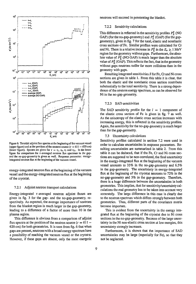

Figure 6: Toroidal adjoint flux spectra at the beginning of the vacuum vessel (upper figure) and at the position of the neutron source  $(r = 611 - 620$  cm) (lower figure). Spectra are given for  $\tau = \tau_1$ ,  $\tau_4$ ,  $\tau_7$  and  $\tau_{11}$ . In the lower figure for comparison the  $\tau$ -averaged neutron flux spectrum in the gapand the no-gap-geometry is given as well. Response parameter: energyintegrated neutron flux at the beginning of the vacuum vessel.

energy-integrated neutron flux at the beginning of the vacuum vessel and the energy-integrated neutron flux at the beginning of the cryostat.

# 7.2.1 Adjoint neutron transport calculations

Energy-integrated  $\tau$ -averaged neutron adjoint fluxes are given in fig. 3 for the gap- and the no-gap-geometry, respectively. As expected, the average importance of neutrons from the blanket region is much larger in the gap-geometry, leading to a difference of a factor of more than 10 in the plasma region.

This difference is obvious from a comparison of adjoint flux spectra at the position of the neutron source  $(r = 611 -$ 620 cm) for both geometries. It is seen from fig. 6 that when gaps are present, neutrons with a broad energy spectrum have a possibility of reaching the vacuum vessel or the cryostat. However, if these gaps are absent, only the most energetic

## 7.2.2 Sensitivity calculations

This difference is reflected in the sensitivity profiles  $P^g_{\Sigma}$  (NO GAP) (for the no-gap-geometry) and  $P^g_{\Sigma}$  (GAP) (for the gapgeometry), given in fig. 7 for the total, elastic and nonelastic cross sections of Fe. Similar profiles were calculated for Cr and Ni. There is a relative increase in  $P^g_{\Sigma}$  in the  $E_n \gtrsim 1$  MeV region for the geometry without gaps. Furthermore, the absolute value of  $\overline{P^g_{\Sigma}}$  (NO GAP) is much larger than the absolute value of  $P_{\Sigma}^{g}$  (GAP). This reflects the fact, that in the geometry without gaps neutrons suffer far more collisions than in the geometry with gaps.

Resulting integrated sensitivities  $S$  for Fe, Cr and Ni cross sections are given in table 1. From this table it is clear, that both the elastic and the nonelastic cross section contribute substantially to the total sensitivity. There is a strong dependence of the neutron energy spectrum, as can be observed for Ni in the no-gap-geometry.

#### 7.2.3 SAD sensitivities

The SAD sensitivity profile for the  $l = 1$  component of the elastic cross section of Fe is given in fig. 7 as well. As the anisotropy of the elastic cross section increases with increasing energy, this is reflected in the sensitivity profiles. Again, the sensitivity for the no-gap-geometry is much larger than for the gap-geometry.

### 7.3 Uncertainty calculations

Sensitivity profiles calculated in section 7.2 were used in order to calculate uncertainties in response parameters. Resulting uncertainties are summarized in table 2. From this table it can be deduced, that if the Fe, Cr and Ni cross sections are supposed to be non-correlated, the final uncertainty in the energy-integrated flux at the beginning of the vacuum vessel amounts to 33% in the no-gap-geometry and 6.5% in the gap-geometry. The uncertainty in energy-integrated flux at the beginning of the cryostat amounts to 72% in the no-gap-geometry and 5% in the gap-geometry. Therefore, there is a huge difference between the uncertainties in both geometries. This implies, that for sensitivity/uncertainty calculations the real geometry has to be taken into account very accurately. The large difference in this case is clearly due to the neutron spectrum which differs strongly between both geometries. Thus, different parts of the covariance matrix become important.

This is evident from the uncertainty in the energy integrated flux at the beginning of the cryostat due to Ni cross sections in the no-gap-geometry. Because of the large uncertainty in the Ni non-elastic cross section at low energies, this uncertainty strongly increases.

Furthermore, it is shown that the importance of SAD uncertainties may be large (especially for Fe), so that they not be neglected.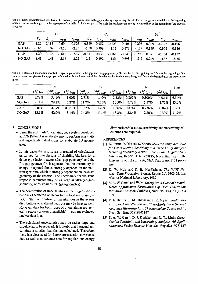Table 1: Calculated integrated sensitivities for both response parameters in the gap- and no-gap-geometry. Results for the energy integrated flux at the beginning of the vacuum vessel are given in the upper part of the table. In the lower part of the table the results for the energy integrated flux at the beginning of the cryostat are given.

|               | Fe        |           |                 |                         | Cr        |               |            |                                                              | Ni        |               |                  |             |
|---------------|-----------|-----------|-----------------|-------------------------|-----------|---------------|------------|--------------------------------------------------------------|-----------|---------------|------------------|-------------|
|               | $S_{tot}$ | $S_{SAD}$ | Selas           | $S_{nonel}$             | $S_{tot}$ | $S_{SAD}$     | $S_{elas}$ | $S_{nonel}$                                                  | $S_{tot}$ | $S_{SAD}$     | $S_{elas}$       | $S_{nonel}$ |
| GAP           | $-1.22$   | 0.183     | $-0.694$        | $-0.526$ $-0.329$ 0.052 |           |               |            | $-0.223$ $-0.106$ $-0.298$                                   |           | 0.029         | $-0.192$         | $-0.106$    |
| NO GAP        | $-5.85$   | 1.09      | $-3.50$         | $-2.35$                 |           | $-1.58$ 0.309 |            | $-1.11 -0.473$ $-1.29$                                       |           |               | $0.179 - 0.904$  | $-0.386$    |
| <b>GAP</b>    | $-1.20$   |           | $0.136 - 0.613$ |                         |           |               |            | $-0.587$ $-0.311$ $0.038$ $-0.168$ $-0.143$ $-0.296$ $0.021$ |           |               | $-0.164 - 0.132$ |             |
| <b>NO GAP</b> | $-8.41$   | 1.41      | $-5.16$         | $-3.25$                 |           | $-2.21$ 0.392 | $-1.51$    | $-0.698$                                                     |           | $-13.2$ 0.249 | $-4.87$          | $-8.35$     |

Table 2: Calculated uncertainties for both response parameters in the gap- and no-gap-geometry. Results for the energy integrated flux at the beginning of the vacuum vessel are given in the upper part of the table. In the lower part of the table the results for the energy integrated flux at the beginning of the cryostat are given.

|               |                                       | Fe                                    |                                          |                              | Cr                                    |                               | Ni                         |                              |                                        | Sum   |
|---------------|---------------------------------------|---------------------------------------|------------------------------------------|------------------------------|---------------------------------------|-------------------------------|----------------------------|------------------------------|----------------------------------------|-------|
|               | $\frac{(\Delta R)}{R}$ <sub>tot</sub> | $\left(\frac{\Delta R}{R}\right)$ SAD | $\left(\frac{\Delta R}{R}\right)_{elas}$ | $(\frac{\Delta R}{R})_{tot}$ | $\left(\frac{\Delta R}{R}\right)$ SAD | $(\frac{\Delta R}{R})_{elas}$ | $\frac{(\Delta R)}{R}$ lot | $\frac{(\Delta R)}{R}$ ) SAD | $\left(\frac{\Delta R}{R}\right)$ elas |       |
| GAP           | l.78%                                 | 5.41%                                 | 1.00%                                    | 2.71%                        | 1.49%                                 | 2.22%                         | 0.862%                     | 0.300%                       | 0.781%                                 | 6.54% |
| NO GAP        | 9.11%                                 | 28.1%                                 | $5.27\%$                                 | 11.7%                        | 7.75%                                 | 10.5%                         | 3.78%                      | 1.57%                        | 3.76%                                  | 33.0% |
| GAP           | 2.03%                                 | 4.37%                                 | 0.961%                                   | 1.87%                        | 1.20%                                 | 1.56%                         | 0.874%                     | 0.236%                       | 0.584%                                 | 5,38% |
| <b>NO GAP</b> | 13.3%                                 | 42.0%                                 | 8.14%                                    | 14.3%                        | 11.4%                                 | 13.3%                         | 53.4%                      | 2.80%                        | 22.9%                                  | 71.7% |

## 8 CONCLUSIONS

- Using the sensitivity/uncertainty code system developed at ECN Petten it is relatively easy to perform sensitivity and uncertainty calculations for elaborate 2D geometries.
- In this paper the results are presented of calculations performed for two designs of shielding blankets for a demo-type fusion reactor (the "gap-geometry" and the "no-gap-geometry"). It appears, that the uncertainty in energy integrated fluxes strongly depends on the neutron spectrum, which is strongly dependent on the exact geometry of the reactor. The uncertainty for the same response parameter may be as large as 70% (no-gapgeometry) or as small as 5% (gap-geometry).
- The contribution of uncertainties in the angular distributions of scattered neutrons to the total uncertainty is large. The contribution of uncertainties in the *energy* distributions of scattered neutrons may be large as well. However, data for both types of uncertainties are generally scarce (or even unavailable) in current evaluated nuclear data files.
- The calculated uncertainties may be rather large and should clearly be reduced. It is likely, that the actual uncertainty is smaller than the one calculated. Therefore, there is a clear need for *better* cross section covariance data as well as covariance data for angular- and energy

distributions if accurate sensitivity and uncertainty calculations are required.

# **REFERENCES**

- [1] K. Furuta, Y. Oka and S. Kondo: SUSD: A computer Code for Cross Section Sensitivity and Uncertainty Analysis Including Secondary Neutron Energy and Angular Distributions, Report UTNL-R0185, Nucl. Eng. Res. Lab. University of Tokyo, 1986, NEA Data Bank 1151 package
- [2] D. W. Muir and R. E. MacFarlane: The NJOY Nuclear Data Processing System, Report LA-9303-M, Los Alamos National Laboratory, 1987
- [3] S. A. W. Gerstl and W. M. Stacey Jr.: A Class of Second-Order Approximate Formulations of Deep Penetration Radiation Transport Problems, Nucl. Sci. Eng. 51 (1973) 339
- [4] D. E. Bartine, E. M. Oblow and F. R. Mynatt: Radiation-Transport Cross-Section Sensitivity Analysis - A General Approach Illustrated for a Thermonuclear Source in Air, Nucl. Sci. Eng. 55 (1974) 147
- [5] S. A. W. Gerstl, D. J. Dudziak and D. W. Muir: Cross-Section Sensitivity and Uncertainty Analysis with Application to a Fusion Reactor, Nucl. Sci. Eng. 62 (1977) 137